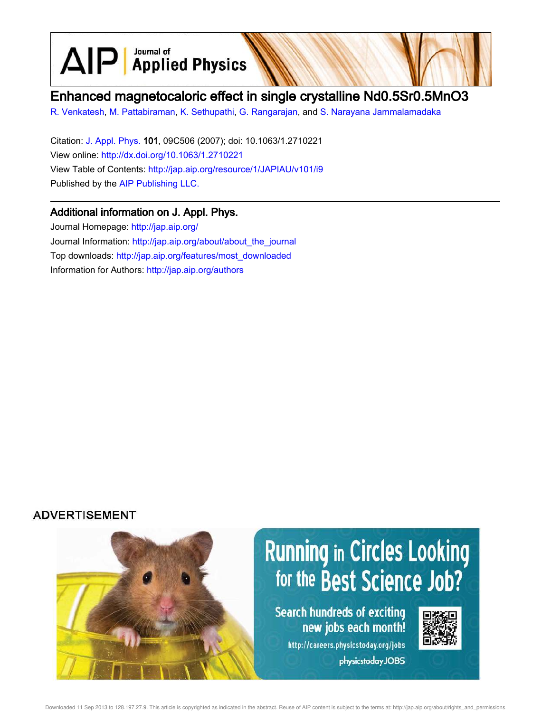Journal of  $\text{AlP}$  Applied Physics

# Enhanced magnetocaloric effect in single crystalline Nd0.5Sr0.5MnO3

R. Venkatesh, M. Pattabiraman, K. Sethupathi, G. Rangarajan, and S. Narayana Jammalamadaka

Citation: J. Appl. Phys. 101, 09C506 (2007); doi: 10.1063/1.2710221 View online: http://dx.doi.org/10.1063/1.2710221 View Table of Contents: http://jap.aip.org/resource/1/JAPIAU/v101/i9 Published by the AIP Publishing LLC.

### Additional information on J. Appl. Phys.

Journal Homepage: http://jap.aip.org/ Journal Information: http://jap.aip.org/about/about\_the\_journal Top downloads: http://jap.aip.org/features/most\_downloaded Information for Authors: http://jap.aip.org/authors

## **ADVERTISEMENT**

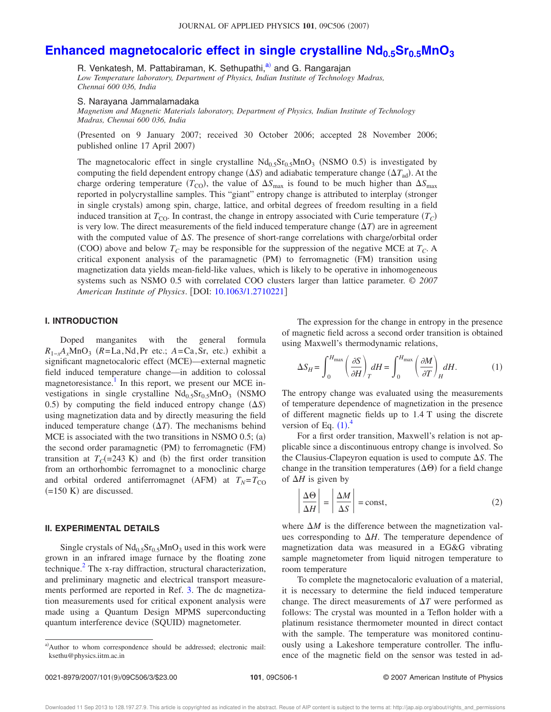# **Enhanced magnetocaloric effect in single crystalline Nd0.5Sr0.5MnO<sup>3</sup>**

R. Venkatesh, M. Pattabiraman, K. Sethupathi,<sup>a)</sup> and G. Rangarajan *Low Temperature laboratory, Department of Physics, Indian Institute of Technology Madras, Chennai 600 036, India*

#### S. Narayana Jammalamadaka

*Magnetism and Magnetic Materials laboratory, Department of Physics, Indian Institute of Technology Madras, Chennai 600 036, India*

Presented on 9 January 2007; received 30 October 2006; accepted 28 November 2006; published online 17 April 2007)

The magnetocaloric effect in single crystalline  $Nd<sub>0.5</sub>Sr<sub>0.5</sub>MnO<sub>3</sub>$  (NSMO 0.5) is investigated by computing the field dependent entropy change  $(\Delta S)$  and adiabatic temperature change  $(\Delta T_{ad})$ . At the charge ordering temperature  $(T_{\text{CO}})$ , the value of  $\Delta S_{\text{max}}$  is found to be much higher than  $\Delta S_{\text{max}}$ reported in polycrystalline samples. This "giant" entropy change is attributed to interplay (stronger in single crystals) among spin, charge, lattice, and orbital degrees of freedom resulting in a field induced transition at  $T_{\text{CO}}$ . In contrast, the change in entropy associated with Curie temperature  $(T_C)$ is very low. The direct measurements of the field induced temperature change  $(\Delta T)$  are in agreement with the computed value of  $\Delta S$ . The presence of short-range correlations with charge/orbital order (COO) above and below  $T_C$  may be responsible for the suppression of the negative MCE at  $T_C$ . A critical exponent analysis of the paramagnetic (PM) to ferromagnetic (FM) transition using magnetization data yields mean-field-like values, which is likely to be operative in inhomogeneous systems such as NSMO 0.5 with correlated COO clusters larger than lattice parameter. © *2007 American Institute of Physics*. DOI: 10.1063/1.2710221

### **I. INTRODUCTION**

Doped manganites with the general formula  $R_{1-x}A_xMnO_3$  ( $R = La, Nd, Pr$  etc.;  $A = Ca, Sr, etc.$ ) exhibit a significant magnetocaloric effect (MCE)-external magnetic field induced temperature change—in addition to colossal magnetoresistance.<sup>1</sup> In this report, we present our MCE investigations in single crystalline  $Nd_{0.5}Sr_{0.5}MnO_3$  (NSMO 0.5) by computing the field induced entropy change  $(\Delta S)$ using magnetization data and by directly measuring the field induced temperature change  $(\Delta T)$ . The mechanisms behind MCE is associated with the two transitions in NSMO  $0.5$ ; (a) the second order paramagnetic (PM) to ferromagnetic (FM) transition at  $T_C$ (=243 K) and (b) the first order transition from an orthorhombic ferromagnet to a monoclinic charge and orbital ordered antiferromagnet (AFM) at  $T_N = T_{CO}$  $(=150 \text{ K})$  are discussed.

#### **II. EXPERIMENTAL DETAILS**

Single crystals of  $Nd_{0.5}Sr_{0.5}MnO_3$  used in this work were grown in an infrared image furnace by the floating zone technique.<sup>2</sup> The x-ray diffraction, structural characterization, and preliminary magnetic and electrical transport measurements performed are reported in Ref. 3. The dc magnetization measurements used for critical exponent analysis were made using a Quantum Design MPMS superconducting quantum interference device (SQUID) magnetometer.

The expression for the change in entropy in the presence of magnetic field across a second order transition is obtained using Maxwell's thermodynamic relations,

$$
\Delta S_H = \int_0^{H_{\text{max}}} \left(\frac{\partial S}{\partial H}\right)_T dH = \int_0^{H_{\text{max}}} \left(\frac{\partial M}{\partial T}\right)_H dH.
$$
 (1)

The entropy change was evaluated using the measurements of temperature dependence of magnetization in the presence of different magnetic fields up to 1.4 T using the discrete version of Eq.  $(1)$ .<sup>4</sup>

For a first order transition, Maxwell's relation is not applicable since a discontinuous entropy change is involved. So the Clausius-Clapeyron equation is used to compute  $\Delta S$ . The change in the transition temperatures  $(\Delta \Theta)$  for a field change of  $\Delta H$  is given by

$$
\left| \frac{\Delta \Theta}{\Delta H} \right| = \left| \frac{\Delta M}{\Delta S} \right| = \text{const},\tag{2}
$$

where  $\Delta M$  is the difference between the magnetization values corresponding to  $\Delta H$ . The temperature dependence of magnetization data was measured in a EG&G vibrating sample magnetometer from liquid nitrogen temperature to room temperature

To complete the magnetocaloric evaluation of a material, it is necessary to determine the field induced temperature change. The direct measurements of  $\Delta T$  were performed as follows: The crystal was mounted in a Teflon holder with a platinum resistance thermometer mounted in direct contact with the sample. The temperature was monitored continuously using a Lakeshore temperature controller. The influence of the magnetic field on the sensor was tested in ad-

a)Author to whom correspondence should be addressed; electronic mail: ksethu@physics.iitm.ac.in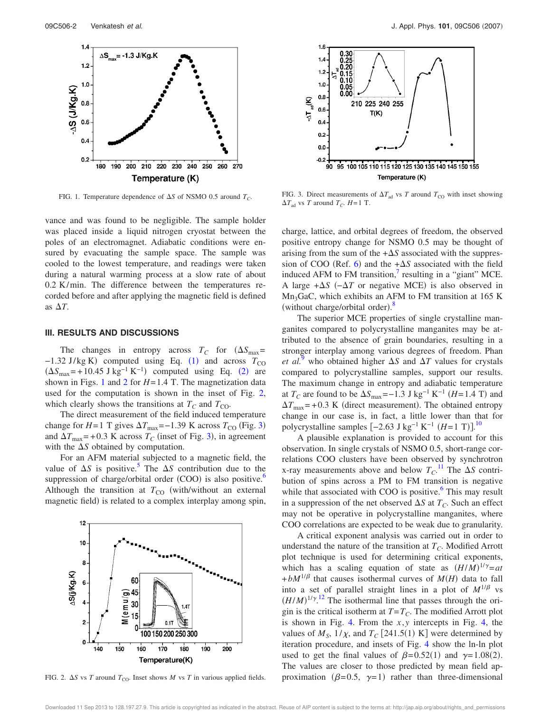

FIG. 1. Temperature dependence of  $\Delta S$  of NSMO 0.5 around  $T_C$ .

vance and was found to be negligible. The sample holder was placed inside a liquid nitrogen cryostat between the poles of an electromagnet. Adiabatic conditions were ensured by evacuating the sample space. The sample was cooled to the lowest temperature, and readings were taken during a natural warming process at a slow rate of about 0.2 K/min. The difference between the temperatures recorded before and after applying the magnetic field is defined as  $\Delta T$ .

#### **III. RESULTS AND DISCUSSIONS**

The changes in entropy across  $T_C$  for  $(\Delta S_{\text{max}} =$  $-1.32$  J/kg K) computed using Eq. (1) and across  $T_{\text{CO}}$  $(\Delta S_{\text{max}} = +10.45 \text{ J kg}^{-1} \text{ K}^{-1})$  computed using Eq. (2) are shown in Figs. 1 and 2 for  $H = 1.4$  T. The magnetization data used for the computation is shown in the inset of Fig. 2, which clearly shows the transitions at  $T_C$  and  $T_{CO}$ .

The direct measurement of the field induced temperature change for *H*=1 T gives  $\Delta T_{\text{max}}$ =−1.39 K across  $T_{\text{CO}}$  (Fig. 3) and  $\Delta T_{\text{max}}$  = +0.3 K across  $T_C$  (inset of Fig. 3), in agreement with the  $\Delta S$  obtained by computation.

For an AFM material subjected to a magnetic field, the value of  $\Delta S$  is positive.<sup>5</sup> The  $\Delta S$  contribution due to the suppression of charge/orbital order (COO) is also positive.<sup>6</sup> Although the transition at  $T_{\text{CO}}$  (with/without an external magnetic field) is related to a complex interplay among spin,



FIG. 2.  $\Delta S$  vs *T* around  $T_{\text{CO}}$ . Inset shows *M* vs *T* in various applied fields.



FIG. 3. Direct measurements of  $\Delta T_{\text{ad}}$  vs *T* around  $T_{\text{CO}}$  with inset showing  $\Delta T_{\text{ad}}$  vs *T* around *T<sub>C</sub>*. *H*=1 T.

charge, lattice, and orbital degrees of freedom, the observed positive entropy change for NSMO 0.5 may be thought of arising from the sum of the  $+\Delta S$  associated with the suppression of COO (Ref. 6) and the  $+\Delta S$  associated with the field induced AFM to FM transition, $\frac{7}{1}$  resulting in a "giant" MCE. A large  $+\Delta S$  ( $-\Delta T$  or negative MCE) is also observed in  $Mn_3GaC$ , which exhibits an AFM to FM transition at 165 K (without charge/orbital order).<sup>8</sup>

The superior MCE properties of single crystalline manganites compared to polycrystalline manganites may be attributed to the absence of grain boundaries, resulting in a stronger interplay among various degrees of freedom. Phan *et al.*<sup>9</sup> who obtained higher  $\Delta S$  and  $\Delta T$  values for crystals compared to polycrystalline samples, support our results. The maximum change in entropy and adiabatic temperature at  $T_C$  are found to be  $\Delta S_{\text{max}} = -1.3 \text{ J kg}^{-1} \text{ K}^{-1} (H = 1.4 \text{ T})$  and  $\Delta T_{\text{max}}$  = +0.3 K (direct measurement). The obtained entropy change in our case is, in fact, a little lower than that for polycrystalline samples  $[-2.63 \text{ J kg}^{-1} \text{ K}^{-1} \text{ } (H=1 \text{ T})]$ .<sup>10</sup>

A plausible explanation is provided to account for this observation. In single crystals of NSMO 0.5, short-range correlations COO clusters have been observed by synchrotron x-ray measurements above and below  $T_C$ .<sup>11</sup> The  $\Delta S$  contribution of spins across a PM to FM transition is negative while that associated with COO is positive.<sup>6</sup> This may result in a suppression of the net observed  $\Delta S$  at  $T_C$ . Such an effect may not be operative in polycrystalline manganites, where COO correlations are expected to be weak due to granularity.

A critical exponent analysis was carried out in order to understand the nature of the transition at  $T_C$ . Modified Arrott plot technique is used for determining critical exponents, which has a scaling equation of state as  $(H/M)^{1/\gamma} = at$  $+bM^{1/\beta}$  that causes isothermal curves of  $M(H)$  data to fall into a set of parallel straight lines in a plot of  $M^{1/\beta}$  vs  $(H/M)^{1/\gamma}$ .<sup>12</sup> The isothermal line that passes through the origin is the critical isotherm at  $T = T_C$ . The modified Arrott plot is shown in Fig. 4. From the *x*, *y* intercepts in Fig. 4, the values of  $M_s$ ,  $1/\chi$ , and  $T_c$  [241.5(1) K] were determined by iteration procedure, and insets of Fig. 4 show the ln-ln plot used to get the final values of  $\beta = 0.52(1)$  and  $\gamma = 1.08(2)$ . The values are closer to those predicted by mean field approximation ( $\beta$ =0.5,  $\gamma$ =1) rather than three-dimensional